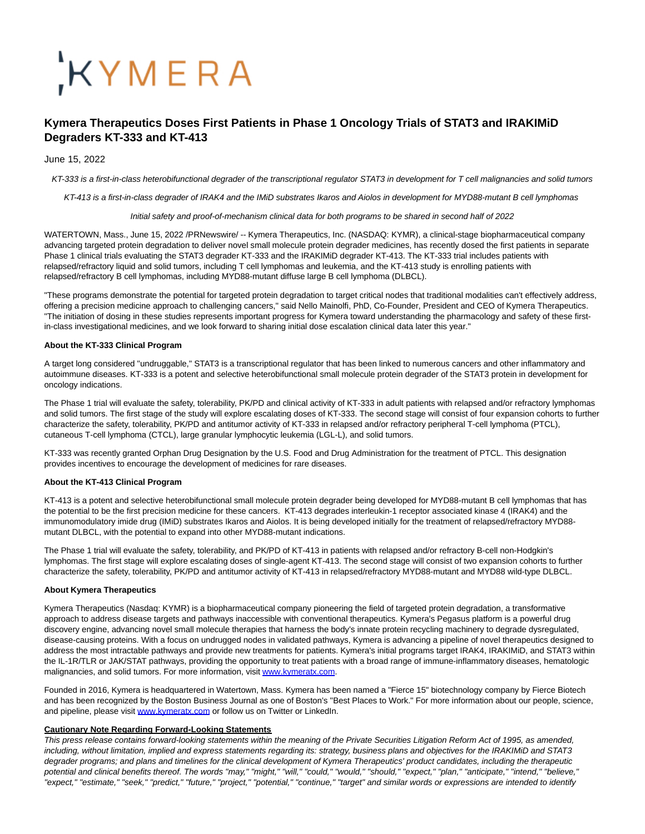# KYMERA

# **Kymera Therapeutics Doses First Patients in Phase 1 Oncology Trials of STAT3 and IRAKIMiD Degraders KT-333 and KT-413**

## June 15, 2022

KT-333 is a first-in-class heterobifunctional degrader of the transcriptional regulator STAT3 in development for T cell malignancies and solid tumors

KT-413 is a first-in-class degrader of IRAK4 and the IMiD substrates Ikaros and Aiolos in development for MYD88-mutant B cell lymphomas

Initial safety and proof-of-mechanism clinical data for both programs to be shared in second half of 2022

WATERTOWN, Mass., June 15, 2022 /PRNewswire/ -- Kymera Therapeutics, Inc. (NASDAQ: KYMR), a clinical-stage biopharmaceutical company advancing targeted protein degradation to deliver novel small molecule protein degrader medicines, has recently dosed the first patients in separate Phase 1 clinical trials evaluating the STAT3 degrader KT-333 and the IRAKIMiD degrader KT-413. The KT-333 trial includes patients with relapsed/refractory liquid and solid tumors, including T cell lymphomas and leukemia, and the KT-413 study is enrolling patients with relapsed/refractory B cell lymphomas, including MYD88-mutant diffuse large B cell lymphoma (DLBCL).

"These programs demonstrate the potential for targeted protein degradation to target critical nodes that traditional modalities can't effectively address, offering a precision medicine approach to challenging cancers," said Nello Mainolfi, PhD, Co-Founder, President and CEO of Kymera Therapeutics. "The initiation of dosing in these studies represents important progress for Kymera toward understanding the pharmacology and safety of these firstin-class investigational medicines, and we look forward to sharing initial dose escalation clinical data later this year."

#### **About the KT-333 Clinical Program**

A target long considered "undruggable," STAT3 is a transcriptional regulator that has been linked to numerous cancers and other inflammatory and autoimmune diseases. KT-333 is a potent and selective heterobifunctional small molecule protein degrader of the STAT3 protein in development for oncology indications.

The Phase 1 trial will evaluate the safety, tolerability, PK/PD and clinical activity of KT-333 in adult patients with relapsed and/or refractory lymphomas and solid tumors. The first stage of the study will explore escalating doses of KT-333. The second stage will consist of four expansion cohorts to further characterize the safety, tolerability, PK/PD and antitumor activity of KT-333 in relapsed and/or refractory peripheral T-cell lymphoma (PTCL), cutaneous T-cell lymphoma (CTCL), large granular lymphocytic leukemia (LGL-L), and solid tumors.

KT-333 was recently granted Orphan Drug Designation by the U.S. Food and Drug Administration for the treatment of PTCL. This designation provides incentives to encourage the development of medicines for rare diseases.

#### **About the KT-413 Clinical Program**

KT-413 is a potent and selective heterobifunctional small molecule protein degrader being developed for MYD88-mutant B cell lymphomas that has the potential to be the first precision medicine for these cancers. KT-413 degrades interleukin-1 receptor associated kinase 4 (IRAK4) and the immunomodulatory imide drug (IMiD) substrates Ikaros and Aiolos. It is being developed initially for the treatment of relapsed/refractory MYD88 mutant DLBCL, with the potential to expand into other MYD88-mutant indications.

The Phase 1 trial will evaluate the safety, tolerability, and PK/PD of KT-413 in patients with relapsed and/or refractory B-cell non-Hodgkin's lymphomas. The first stage will explore escalating doses of single-agent KT-413. The second stage will consist of two expansion cohorts to further characterize the safety, tolerability, PK/PD and antitumor activity of KT-413 in relapsed/refractory MYD88-mutant and MYD88 wild-type DLBCL.

#### **About Kymera Therapeutics**

Kymera Therapeutics (Nasdaq: KYMR) is a biopharmaceutical company pioneering the field of targeted protein degradation, a transformative approach to address disease targets and pathways inaccessible with conventional therapeutics. Kymera's Pegasus platform is a powerful drug discovery engine, advancing novel small molecule therapies that harness the body's innate protein recycling machinery to degrade dysregulated, disease-causing proteins. With a focus on undrugged nodes in validated pathways, Kymera is advancing a pipeline of novel therapeutics designed to address the most intractable pathways and provide new treatments for patients. Kymera's initial programs target IRAK4, IRAKIMiD, and STAT3 within the IL-1R/TLR or JAK/STAT pathways, providing the opportunity to treat patients with a broad range of immune-inflammatory diseases, hematologic malignancies, and solid tumors. For more information, visi[t www.kymeratx.com.](http://www.kymeratx.com/)

Founded in 2016, Kymera is headquartered in Watertown, Mass. Kymera has been named a "Fierce 15" biotechnology company by Fierce Biotech and has been recognized by the Boston Business Journal as one of Boston's "Best Places to Work." For more information about our people, science, and pipeline, please visi[t www.kymeratx.com o](http://www.kymeratx.com/)r follow us on Twitter or LinkedIn.

#### **Cautionary Note Regarding Forward-Looking Statements**

This press release contains forward-looking statements within the meaning of the Private Securities Litigation Reform Act of 1995, as amended, including, without limitation, implied and express statements regarding its: strategy, business plans and objectives for the IRAKIMiD and STAT3 degrader programs; and plans and timelines for the clinical development of Kymera Therapeutics' product candidates, including the therapeutic potential and clinical benefits thereof. The words "may," "might," "will," "could," "would," "should," "expect," "plan," "anticipate," "intend," "believe," "expect," "estimate," "seek," "predict," "future," "project," "potential," "continue," "target" and similar words or expressions are intended to identify